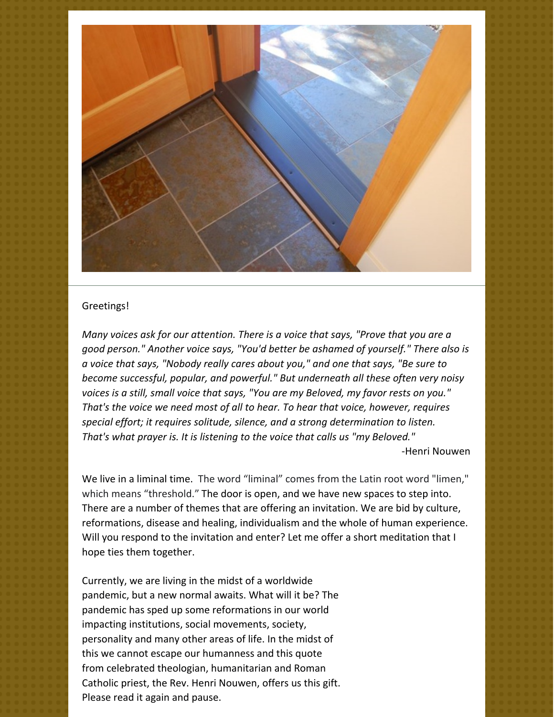

## Greetings!

*Many voices ask for our attention. There is a voice that says, "Prove that you are a good person." Another voice says, "You'd better be ashamed of yourself." There also is a voice that says, "Nobody really cares about you," and one that says, "Be sure to become successful, popular, and powerful." But underneath all these often very noisy voices is a still, small voice that says, "You are my Beloved, my favor rests on you." That's the voice we need most of all to hear. To hear that voice, however, requires special effort; it requires solitude, silence, and a strong determination to listen. That's what prayer is. It is listening to the voice that calls us "my Beloved."*

-Henri Nouwen

We live in a liminal time. The word "liminal" comes from the Latin root word "limen," which means "threshold." The door is open, and we have new spaces to step into. There are a number of themes that are offering an invitation. We are bid by culture, reformations, disease and healing, individualism and the whole of human experience. Will you respond to the invitation and enter? Let me offer a short meditation that I hope ties them together.

Currently, we are living in the midst of a worldwide pandemic, but a new normal awaits. What will it be? The pandemic has sped up some reformations in our world impacting institutions, social movements, society, personality and many other areas of life. In the midst of this we cannot escape our humanness and this quote from celebrated theologian, humanitarian and Roman Catholic priest, the Rev. Henri Nouwen, offers us this gift. Please read it again and pause.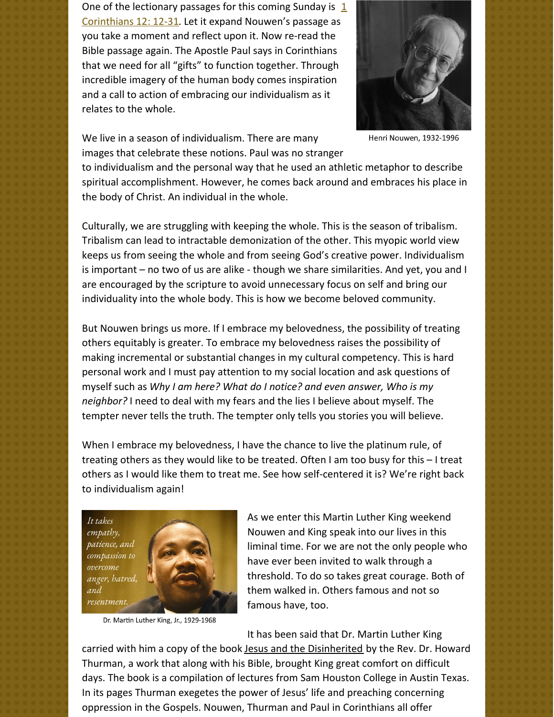One of the lectionary passages for this coming Sunday is  $1/2$ [Corinthians](https://www.biblegateway.com/passage/?search=1+Corinthians+12%3A+12-31&version=NRSV) 12: 12-31. Let it expand Nouwen's passage as you take a moment and reflect upon it. Now re-read the Bible passage again. The Apostle Paul says in Corinthians that we need for all "gifts" to function together. Through incredible imagery of the human body comes inspiration and a call to action of embracing our individualism as it relates to the whole.



Henri Nouwen, 1932-1996

We live in a season of individualism. There are many images that celebrate these notions. Paul was no stranger

to individualism and the personal way that he used an athletic metaphor to describe spiritual accomplishment. However, he comes back around and embraces his place in the body of Christ. An individual in the whole.

Culturally, we are struggling with keeping the whole. This is the season of tribalism. Tribalism can lead to intractable demonization of the other. This myopic world view keeps us from seeing the whole and from seeing God's creative power. Individualism is important – no two of us are alike - though we share similarities. And yet, you and I are encouraged by the scripture to avoid unnecessary focus on self and bring our individuality into the whole body. This is how we become beloved community.

But Nouwen brings us more. If I embrace my belovedness, the possibility of treating others equitably is greater. To embrace my belovedness raises the possibility of making incremental or substantial changes in my cultural competency. This is hard personal work and I must pay attention to my social location and ask questions of myself such as *Why I am here? What do I notice? and even answer, Who is my neighbor?* I need to deal with my fears and the lies I believe about myself. The tempter never tells the truth. The tempter only tells you stories you will believe.

When I embrace my belovedness, I have the chance to live the platinum rule, of treating others as they would like to be treated. Often I am too busy for this – I treat others as I would like them to treat me. See how self-centered it is? We're right back to individualism again!



Dr. Martin Luther King, Jr., 1929-1968

As we enter this Martin Luther King weekend Nouwen and King speak into our lives in this liminal time. For we are not the only people who have ever been invited to walk through a threshold. To do so takes great courage. Both of them walked in. Others famous and not so famous have, too.

It has been said that Dr. Martin Luther King

carried with him a copy of the book Jesus and the Disinherited by the Rev. Dr. Howard Thurman, a work that along with his Bible, brought King great comfort on difficult days. The book is a compilation of lectures from Sam Houston College in Austin Texas. In its pages Thurman exegetes the power of Jesus' life and preaching concerning oppression in the Gospels. Nouwen, Thurman and Paul in Corinthians all offer